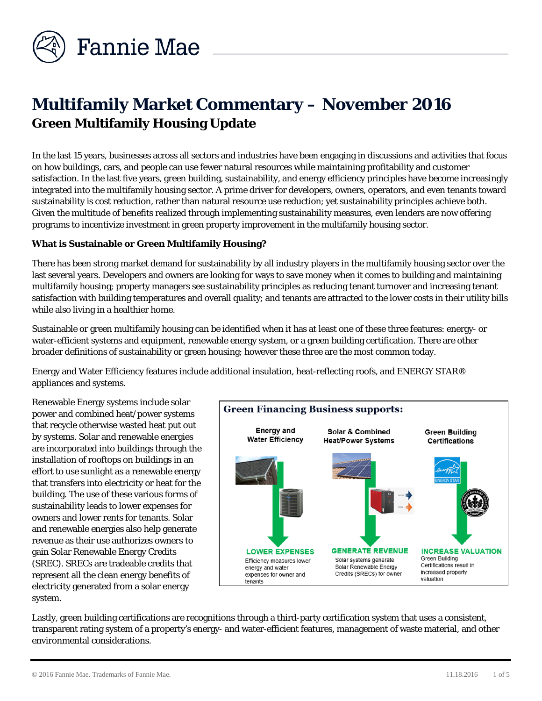

# **Multifamily Market Commentary – November 2016 Green Multifamily Housing Update**

In the last 15 years, businesses across all sectors and industries have been engaging in discussions and activities that focus on how buildings, cars, and people can use fewer natural resources while maintaining profitability and customer satisfaction. In the last five years, green building, sustainability, and energy efficiency principles have become increasingly integrated into the multifamily housing sector. A prime driver for developers, owners, operators, and even tenants toward sustainability is cost reduction, rather than natural resource use reduction; yet sustainability principles achieve both. Given the multitude of benefits realized through implementing sustainability measures, even lenders are now offering programs to incentivize investment in green property improvement in the multifamily housing sector.

# **What is Sustainable or Green Multifamily Housing?**

There has been strong market demand for sustainability by all industry players in the multifamily housing sector over the last several years. Developers and owners are looking for ways to save money when it comes to building and maintaining multifamily housing; property managers see sustainability principles as reducing tenant turnover and increasing tenant satisfaction with building temperatures and overall quality; and tenants are attracted to the lower costs in their utility bills while also living in a healthier home.

Sustainable or green multifamily housing can be identified when it has at least one of these three features: energy- or water-efficient systems and equipment, renewable energy system, or a green building certification. There are other broader definitions of sustainability or green housing; however these three are the most common today.

Energy and Water Efficiency features include additional insulation, heat-reflecting roofs, and ENERGY STAR® appliances and systems.

Renewable Energy systems include solar power and combined heat/power systems that recycle otherwise wasted heat put out by systems. Solar and renewable energies are incorporated into buildings through the installation of rooftops on buildings in an effort to use sunlight as a renewable energy that transfers into electricity or heat for the building. The use of these various forms of sustainability leads to lower expenses for owners and lower rents for tenants. Solar and renewable energies also help generate revenue as their use authorizes owners to gain Solar Renewable Energy Credits (SREC). SRECs are tradeable credits that represent all the clean energy benefits of electricity generated from a solar energy system.



Lastly, green building certifications are recognitions through a third-party certification system that uses a consistent, transparent rating system of a property's energy- and water-efficient features, management of waste material, and other environmental considerations.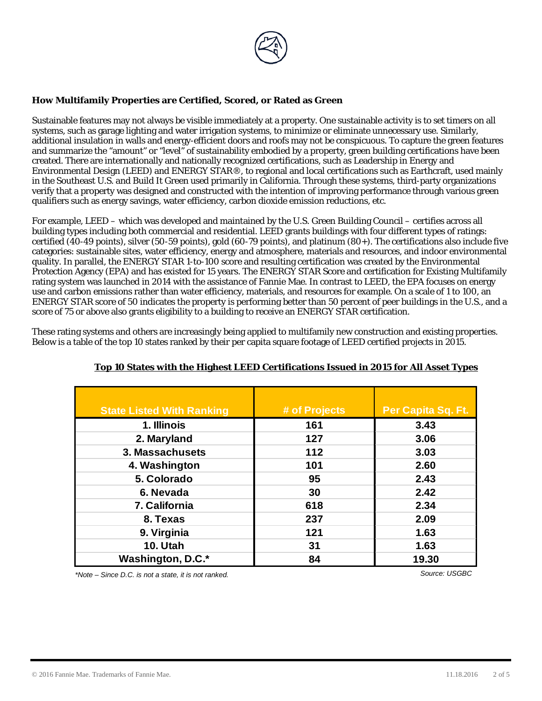

## **How Multifamily Properties are Certified, Scored, or Rated as Green**

Sustainable features may not always be visible immediately at a property. One sustainable activity is to set timers on all systems, such as garage lighting and water irrigation systems, to minimize or eliminate unnecessary use. Similarly, additional insulation in walls and energy-efficient doors and roofs may not be conspicuous. To capture the green features and summarize the "amount" or "level" of sustainability embodied by a property, green building certifications have been created. There are internationally and nationally recognized certifications, such as Leadership in Energy and Environmental Design (LEED) and ENERGY STAR®, to regional and local certifications such as Earthcraft, used mainly in the Southeast U.S. and Build It Green used primarily in California. Through these systems, third-party organizations verify that a property was designed and constructed with the intention of improving performance through various green qualifiers such as energy savings, water efficiency, carbon dioxide emission reductions, etc.

For example, LEED – which was developed and maintained by the U.S. Green Building Council – certifies across all building types including both commercial and residential. LEED grants buildings with four different types of ratings: certified (40-49 points), silver (50-59 points), gold (60-79 points), and platinum (80+). The certifications also include five categories: sustainable sites, water efficiency, energy and atmosphere, materials and resources, and indoor environmental quality. In parallel, the ENERGY STAR 1-to-100 score and resulting certification was created by the Environmental Protection Agency (EPA) and has existed for 15 years. The ENERGY STAR Score and certification for Existing Multifamily rating system was launched in 2014 with the assistance of Fannie Mae. In contrast to LEED, the EPA focuses on energy use and carbon emissions rather than water efficiency, materials, and resources for example. On a scale of 1 to 100, an ENERGY STAR score of 50 indicates the property is performing better than 50 percent of peer buildings in the U.S., and a score of 75 or above also grants eligibility to a building to receive an ENERGY STAR certification.

These rating systems and others are increasingly being applied to multifamily new construction and existing properties. Below is a table of the top 10 states ranked by their per capita square footage of LEED certified projects in 2015.

| <b>State Listed With Ranking</b> | # of Projects | Per Capita Sq. Ft. |
|----------------------------------|---------------|--------------------|
| 1. Illinois                      | 161           | 3.43               |
| 2. Maryland                      | 127           | 3.06               |
| 3. Massachusets                  | 112           | 3.03               |
| 4. Washington                    | 101           | 2.60               |
| 5. Colorado                      | 95            | 2.43               |
| 6. Nevada                        | 30            | 2.42               |
| 7. California                    | 618           | 2.34               |
| 8. Texas                         | 237           | 2.09               |
| 9. Virginia                      | 121           | 1.63               |
| <b>10. Utah</b>                  | 31            | 1.63               |
| Washington, D.C.*                | 84            | 19.30              |

# **Top 10 States with the Highest LEED Certifications Issued in 2015 for All Asset Types**

*\*Note – Since D.C. is not a state, it is not ranked. Source: USGBC*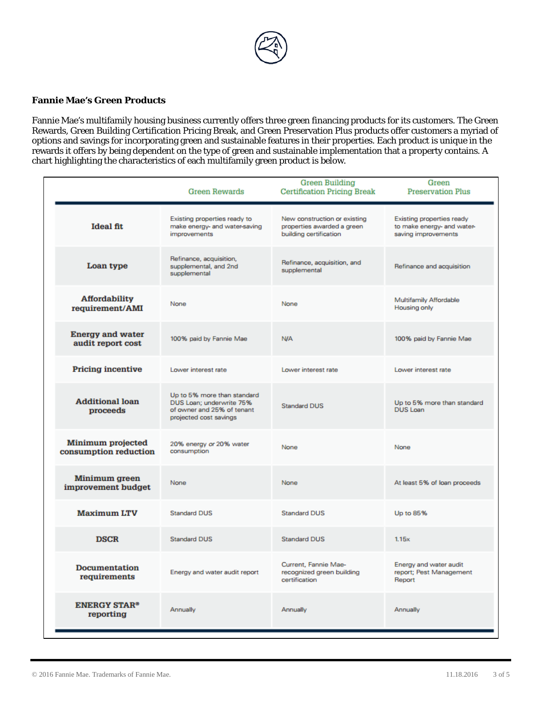

#### **Fannie Mae's Green Products**

Fannie Mae's multifamily housing business currently offers three green financing products for its customers. The Green Rewards, Green Building Certification Pricing Break, and Green Preservation Plus products offer customers a myriad of options and savings for incorporating green and sustainable features in their properties. Each product is unique in the rewards it offers by being dependent on the type of green and sustainable implementation that a property contains. A chart highlighting the characteristics of each multifamily green product is below.

|                                                   | <b>Green Rewards</b>                                                                                            | <b>Green Building</b><br><b>Certification Pricing Break</b>                          | Green<br><b>Preservation Plus</b>                                              |
|---------------------------------------------------|-----------------------------------------------------------------------------------------------------------------|--------------------------------------------------------------------------------------|--------------------------------------------------------------------------------|
| <b>Ideal fit</b>                                  | Existing properties ready to<br>make energy- and water-saving<br>improvements                                   | New construction or existing<br>properties awarded a green<br>building certification | Existing properties ready<br>to make energy- and water-<br>saving improvements |
| Loan type                                         | Refinance, acquisition,<br>supplemental, and 2nd<br>supplemental                                                | Refinance, acquisition, and<br>supplemental                                          | Refinance and acquisition                                                      |
| <b>Affordability</b><br>requirement/AMI           | None                                                                                                            | None                                                                                 | Multifamily Affordable<br>Housing only                                         |
| <b>Energy and water</b><br>audit report cost      | 100% paid by Fannie Mae                                                                                         | <b>N/A</b>                                                                           | 100% paid by Fannie Mae                                                        |
| <b>Pricing incentive</b>                          | Lower interest rate                                                                                             | Lower interest rate                                                                  | Lower interest rate                                                            |
| <b>Additional loan</b><br>proceeds                | Up to 5% more than standard<br>DUS Loan: underwrite 75%<br>of owner and 25% of tenant<br>projected cost savings | <b>Standard DUS</b>                                                                  | Up to 5% more than standard<br>DUS Loan                                        |
| <b>Minimum projected</b><br>consumption reduction | 20% energy or 20% water<br>consumption                                                                          | None                                                                                 | None                                                                           |
| Minimum green<br>improvement budget               | None                                                                                                            | None                                                                                 | At least 5% of loan proceeds                                                   |
| <b>Maximum LTV</b>                                | <b>Standard DUS</b>                                                                                             | <b>Standard DUS</b>                                                                  | Up to 85%                                                                      |
| <b>DSCR</b>                                       | <b>Standard DUS</b>                                                                                             | <b>Standard DUS</b>                                                                  | 1.15x                                                                          |
| <b>Documentation</b><br>requirements              | Energy and water audit report                                                                                   | Current, Fannie Mae-<br>recognized green building<br>certification                   | Energy and water audit<br>report; Pest Management<br>Report                    |
| <b>ENERGY STAR®</b><br>reporting                  | Annually                                                                                                        | Annually                                                                             | Annually                                                                       |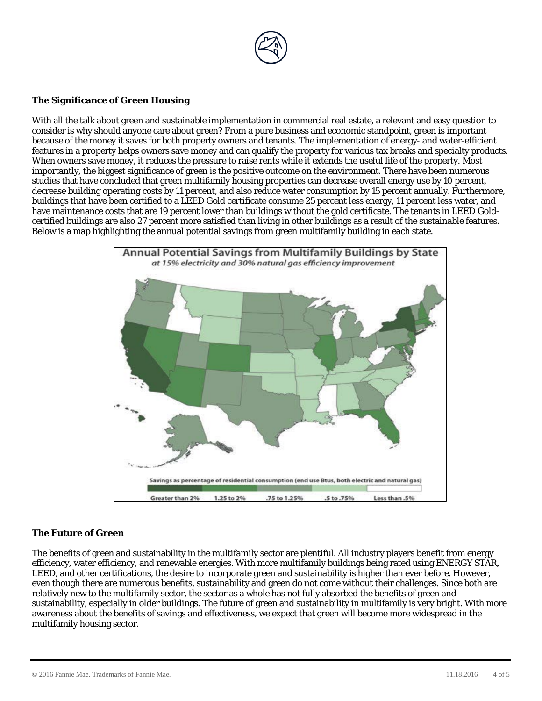

## **The Significance of Green Housing**

With all the talk about green and sustainable implementation in commercial real estate, a relevant and easy question to consider is why should anyone care about green? From a pure business and economic standpoint, green is important because of the money it saves for both property owners and tenants. The implementation of energy- and water-efficient features in a property helps owners save money and can qualify the property for various tax breaks and specialty products. When owners save money, it reduces the pressure to raise rents while it extends the useful life of the property. Most importantly, the biggest significance of green is the positive outcome on the environment. There have been numerous studies that have concluded that green multifamily housing properties can decrease overall energy use by 10 percent, decrease building operating costs by 11 percent, and also reduce water consumption by 15 percent annually. Furthermore, buildings that have been certified to a LEED Gold certificate consume 25 percent less energy, 11 percent less water, and have maintenance costs that are 19 percent lower than buildings without the gold certificate. The tenants in LEED Goldcertified buildings are also 27 percent more satisfied than living in other buildings as a result of the sustainable features. Below is a map highlighting the annual potential savings from green multifamily building in each state.



#### **The Future of Green**

The benefits of green and sustainability in the multifamily sector are plentiful. All industry players benefit from energy efficiency, water efficiency, and renewable energies. With more multifamily buildings being rated using ENERGY STAR, LEED, and other certifications, the desire to incorporate green and sustainability is higher than ever before. However, even though there are numerous benefits, sustainability and green do not come without their challenges. Since both are relatively new to the multifamily sector, the sector as a whole has not fully absorbed the benefits of green and sustainability, especially in older buildings. The future of green and sustainability in multifamily is very bright. With more awareness about the benefits of savings and effectiveness, we expect that green will become more widespread in the multifamily housing sector.